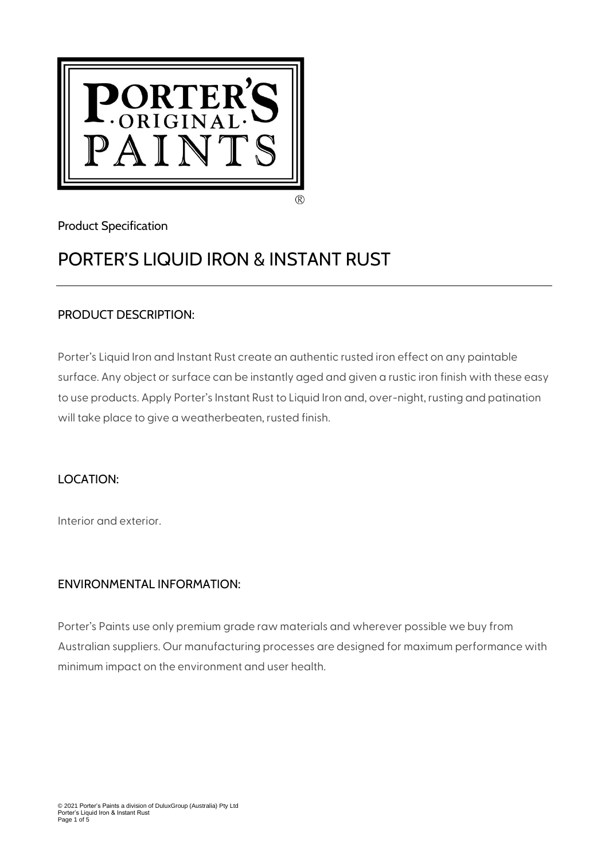

# Product Specification

# PORTER'S LIQUID IRON & INSTANT RUST

# PRODUCT DESCRIPTION:

Porter's Liquid Iron and Instant Rust create an authentic rusted iron effect on any paintable surface. Any object or surface can be instantly aged and given a rustic iron finish with these easy to use products. Apply Porter's Instant Rust to Liquid Iron and, over-night, rusting and patination will take place to give a weatherbeaten, rusted finish.

# LOCATION:

Interior and exterior.

# ENVIRONMENTAL INFORMATION:

Porter's Paints use only premium grade raw materials and wherever possible we buy from Australian suppliers. Our manufacturing processes are designed for maximum performance with minimum impact on the environment and user health.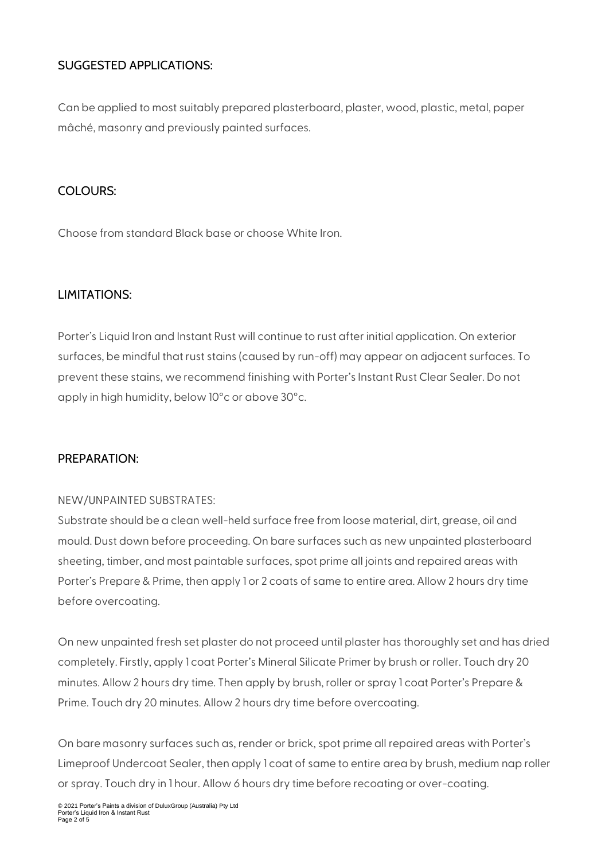# SUGGESTED APPLICATIONS:

Can be applied to most suitably prepared plasterboard, plaster, wood, plastic, metal, paper mâché, masonry and previously painted surfaces.

# COLOURS:

Choose from standard Black base or choose White Iron.

# LIMITATIONS:

Porter's Liquid Iron and Instant Rust will continue to rust after initial application. On exterior surfaces, be mindful that rust stains (caused by run-off) may appear on adjacent surfaces. To prevent these stains, we recommend finishing with Porter's Instant Rust Clear Sealer. Do not apply in high humidity, below 10°c or above 30°c.

# PREPARATION:

#### NEW/UNPAINTED SUBSTRATES:

Substrate should be a clean well-held surface free from loose material, dirt, grease, oil and mould. Dust down before proceeding. On bare surfaces such as new unpainted plasterboard sheeting, timber, and most paintable surfaces, spot prime all joints and repaired areas with Porter's Prepare & Prime, then apply 1 or 2 coats of same to entire area. Allow 2 hours dry time before overcoating.

On new unpainted fresh set plaster do not proceed until plaster has thoroughly set and has dried completely. Firstly, apply 1 coat Porter's Mineral Silicate Primer by brush or roller. Touch dry 20 minutes. Allow 2 hours dry time. Then apply by brush, roller or spray 1 coat Porter's Prepare & Prime. Touch dry 20 minutes. Allow 2 hours dry time before overcoating.

On bare masonry surfaces such as, render or brick, spot prime all repaired areas with Porter's Limeproof Undercoat Sealer, then apply 1 coat of same to entire area by brush, medium nap roller or spray. Touch dry in 1 hour. Allow 6 hours dry time before recoating or over-coating.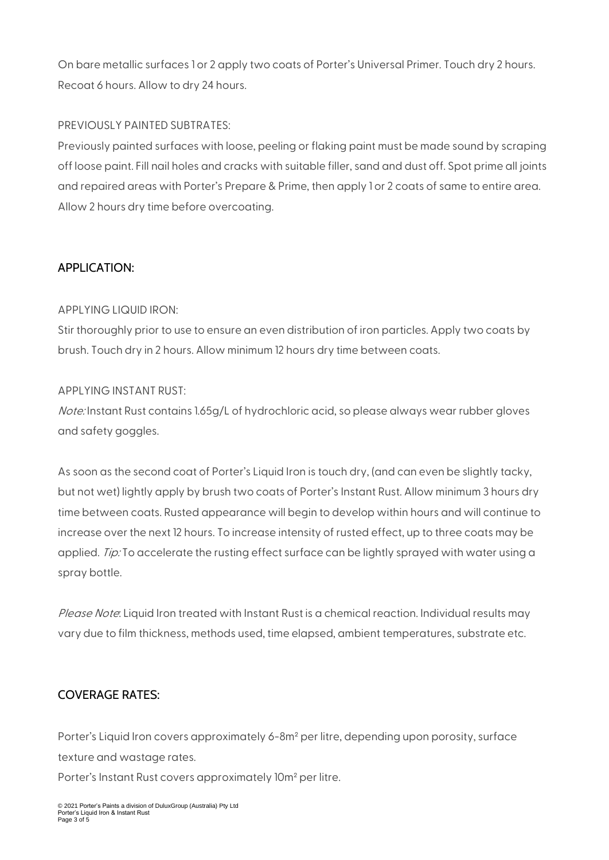On bare metallic surfaces 1 or 2 apply two coats of Porter's Universal Primer. Touch dry 2 hours. Recoat 6 hours. Allow to dry 24 hours.

#### PREVIOUSLY PAINTED SUBTRATES:

Previously painted surfaces with loose, peeling or flaking paint must be made sound by scraping off loose paint. Fill nail holes and cracks with suitable filler, sand and dust off. Spot prime all joints and repaired areas with Porter's Prepare & Prime, then apply 1 or 2 coats of same to entire area. Allow 2 hours dry time before overcoating.

# APPLICATION:

#### APPLYING LIQUID IRON:

Stir thoroughly prior to use to ensure an even distribution of iron particles. Apply two coats by brush. Touch dry in 2 hours. Allow minimum 12 hours dry time between coats.

#### APPLYING INSTANT RUST:

Note: Instant Rust contains 1.65g/L of hydrochloric acid, so please always wear rubber gloves and safety goggles.

As soon as the second coat of Porter's Liquid Iron is touch dry, (and can even be slightly tacky, but not wet) lightly apply by brush two coats of Porter's Instant Rust. Allow minimum 3 hours dry time between coats. Rusted appearance will begin to develop within hours and will continue to increase over the next 12 hours. To increase intensity of rusted effect, up to three coats may be applied. Tip: To accelerate the rusting effect surface can be lightly sprayed with water using a spray bottle.

Please Note: Liquid Iron treated with Instant Rust is a chemical reaction. Individual results may vary due to film thickness, methods used, time elapsed, ambient temperatures, substrate etc.

# COVERAGE RATES:

Porter's Liquid Iron covers approximately 6-8m<sup>2</sup> per litre, depending upon porosity, surface texture and wastage rates.

Porter's Instant Rust covers approximately 10m² per litre.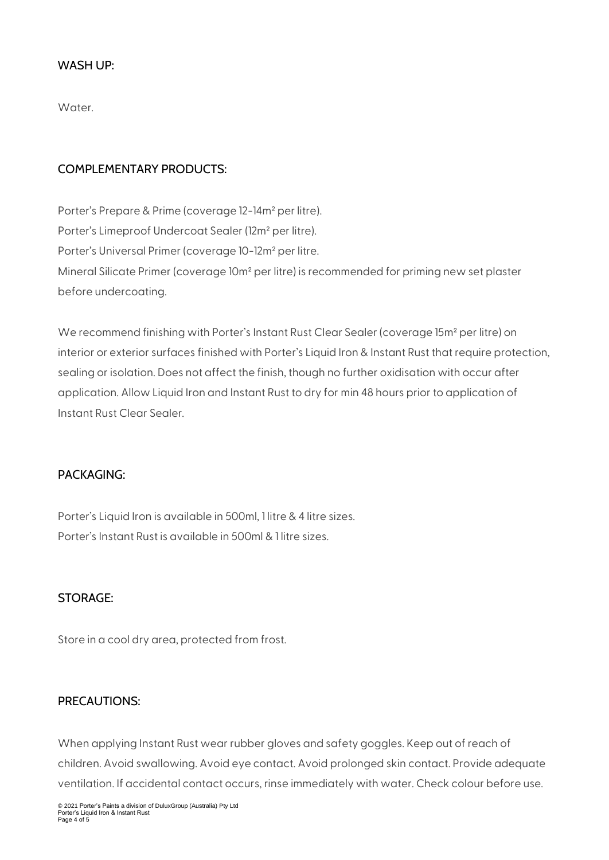#### WASH UP:

Water.

#### COMPLEMENTARY PRODUCTS:

Porter's Prepare & Prime (coverage 12-14m² per litre). Porter's Limeproof Undercoat Sealer (12m² per litre). Porter's Universal Primer (coverage 10-12m² per litre. Mineral Silicate Primer (coverage 10m² per litre) is recommended for priming new set plaster before undercoating.

We recommend finishing with Porter's Instant Rust Clear Sealer (coverage 15m² per litre) on interior or exterior surfaces finished with Porter's Liquid Iron & Instant Rust that require protection, sealing or isolation. Does not affect the finish, though no further oxidisation with occur after application. Allow Liquid Iron and Instant Rust to dry for min 48 hours prior to application of Instant Rust Clear Sealer.

#### PACKAGING:

Porter's Liquid Iron is available in 500ml, 1 litre & 4 litre sizes. Porter's Instant Rust is available in 500ml & 1 litre sizes.

#### STORAGE:

Store in a cool dry area, protected from frost.

#### PRECAUTIONS:

When applying Instant Rust wear rubber gloves and safety goggles. Keep out of reach of children. Avoid swallowing. Avoid eye contact. Avoid prolonged skin contact. Provide adequate ventilation. If accidental contact occurs, rinse immediately with water. Check colour before use.